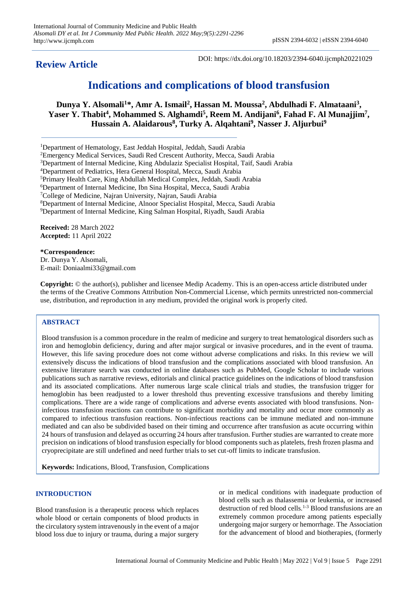## **Review Article**

DOI: https://dx.doi.org/10.18203/2394-6040.ijcmph20221029

# **Indications and complications of blood transfusion**

**Dunya Y. Alsomali<sup>1</sup>\*, Amr A. Ismail<sup>2</sup> , Hassan M. Moussa<sup>2</sup> , Abdulhadi F. Almataani<sup>3</sup> ,**  Yaser Y. Thabit<sup>4</sup>, Mohammed S. Alghamdi<sup>5</sup>, Reem M. Andijani<sup>6</sup>, Fahad F. Al Munajjim<sup>7</sup>, **Hussain A. Alaidarous<sup>8</sup> , Turky A. Alqahtani<sup>9</sup> , Nasser J. Aljurbui<sup>9</sup>**

<sup>1</sup>Department of Hematology, East Jeddah Hospital, Jeddah, Saudi Arabia

<sup>2</sup>Emergency Medical Services, Saudi Red Crescent Authority, Mecca, Saudi Arabia

<sup>3</sup>Department of Internal Medicine, King Abdulaziz Specialist Hospital, Taif, Saudi Arabia

<sup>4</sup>Department of Pediatrics, Hera General Hospital, Mecca, Saudi Arabia

<sup>5</sup>Primary Health Care, King Abdullah Medical Complex, Jeddah, Saudi Arabia

<sup>6</sup>Department of Internal Medicine, Ibn Sina Hospital, Mecca, Saudi Arabia

<sup>7</sup>College of Medicine, Najran University, Najran, Saudi Arabia

<sup>8</sup>Department of Internal Medicine, Alnoor Specialist Hospital, Mecca, Saudi Arabia

<sup>9</sup>Department of Internal Medicine, King Salman Hospital, Riyadh, Saudi Arabia

**Received:** 28 March 2022 **Accepted:** 11 April 2022

**\*Correspondence:** Dr. Dunya Y. Alsomali, E-mail: Doniaalmi33@gmail.com

**Copyright:** © the author(s), publisher and licensee Medip Academy. This is an open-access article distributed under the terms of the Creative Commons Attribution Non-Commercial License, which permits unrestricted non-commercial use, distribution, and reproduction in any medium, provided the original work is properly cited.

## **ABSTRACT**

Blood transfusion is a common procedure in the realm of medicine and surgery to treat hematological disorders such as iron and hemoglobin deficiency, during and after major surgical or invasive procedures, and in the event of trauma. However, this life saving procedure does not come without adverse complications and risks. In this review we will extensively discuss the indications of blood transfusion and the complications associated with blood transfusion. An extensive literature search was conducted in online databases such as PubMed, Google Scholar to include various publications such as narrative reviews, editorials and clinical practice guidelines on the indications of blood transfusion and its associated complications. After numerous large scale clinical trials and studies, the transfusion trigger for hemoglobin has been readjusted to a lower threshold thus preventing excessive transfusions and thereby limiting complications. There are a wide range of complications and adverse events associated with blood transfusions. Noninfectious transfusion reactions can contribute to significant morbidity and mortality and occur more commonly as compared to infectious transfusion reactions. Non-infectious reactions can be immune mediated and non-immune mediated and can also be subdivided based on their timing and occurrence after transfusion as acute occurring within 24 hours of transfusion and delayed as occurring 24 hours after transfusion. Further studies are warranted to create more precision on indications of blood transfusion especially for blood components such as platelets, fresh frozen plasma and cryoprecipitate are still undefined and need further trials to set cut-off limits to indicate transfusion.

**Keywords:** Indications, Blood, Transfusion, Complications

## **INTRODUCTION**

Blood transfusion is a therapeutic process which replaces whole blood or certain components of blood products in the circulatory system intravenously in the event of a major blood loss due to injury or trauma, during a major surgery

or in medical conditions with inadequate production of blood cells such as thalassemia or leukemia, or increased destruction of red blood cells.<sup>1-3</sup> Blood transfusions are an extremely common procedure among patients especially undergoing major surgery or hemorrhage. The Association for the advancement of blood and biotherapies, (formerly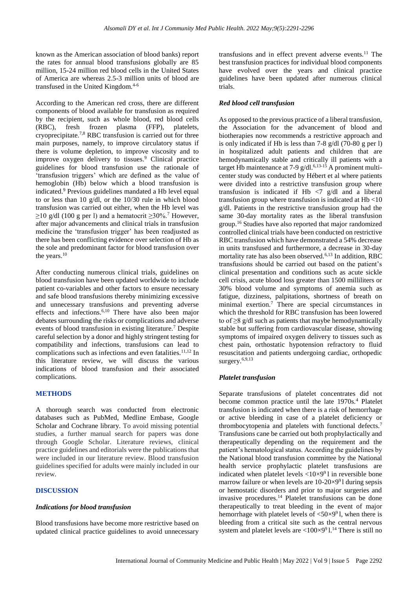known as the American association of blood banks) report the rates for annual blood transfusions globally are 85 million, 15-24 million red blood cells in the United States of America are whereas 2.5-3 million units of blood are transfused in the United Kingdom.<sup>4-6</sup>

According to the American red cross, there are different components of blood available for transfusion as required by the recipient, such as whole blood, red blood cells (RBC), fresh frozen plasma (FFP), platelets, cryoprecipitate.7,8 RBC transfusion is carried out for three main purposes, namely, to improve circulatory status if there is volume depletion, to improve viscosity and to improve oxygen delivery to tissues.<sup>9</sup> Clinical practice guidelines for blood transfusion use the rationale of 'transfusion triggers' which are defined as the value of hemoglobin (Hb) below which a blood transfusion is indicated.<sup>9</sup> Previous guidelines mandated a Hb level equal to or less than 10 g/dl, or the 10/30 rule in which blood transfusion was carried out either, when the Hb level was  $≥10$  g/dl (100 g per l) and a hematocrit  $≥30\%$ .<sup>7</sup> However, after major advancements and clinical trials in transfusion medicine the 'transfusion trigger' has been readjusted as there has been conflicting evidence over selection of Hb as the sole and predominant factor for blood transfusion over the years.<sup>10</sup>

After conducting numerous clinical trials, guidelines on blood transfusion have been updated worldwide to include patient co-variables and other factors to ensure necessary and safe blood transfusions thereby minimizing excessive and unnecessary transfusions and preventing adverse effects and infections. 6,10 There have also been major debates surrounding the risks or complications and adverse events of blood transfusion in existing literature.<sup>7</sup> Despite careful selection by a donor and highly stringent testing for compatibility and infections, transfusions can lead to complications such as infections and even fatalities.<sup>11,12</sup> In this literature review, we will discuss the various indications of blood transfusion and their associated complications.

## **METHODS**

A thorough search was conducted from electronic databases such as PubMed, Medline Embase, Google Scholar and Cochrane library. To avoid missing potential studies, a further manual search for papers was done through Google Scholar. Literature reviews, clinical practice guidelines and editorials were the publications that were included in our literature review. Blood transfusion guidelines specified for adults were mainly included in our review.

#### **DISCUSSION**

#### *Indications for blood transfusion*

Blood transfusions have become more restrictive based on updated clinical practice guidelines to avoid unnecessary

transfusions and in effect prevent adverse events.<sup>11</sup> The best transfusion practices for individual blood components have evolved over the years and clinical practice guidelines have been updated after numerous clinical trials.

#### *Red blood cell transfusion*

As opposed to the previous practice of a liberal transfusion, the Association for the advancement of blood and biotherapies now recommends a restrictive approach and is only indicated if Hb is less than 7-8 g/dl (70-80 g per l) in hospitalized adult patients and children that are hemodynamically stable and critically ill patients with a target Hb maintenance at 7-9 g/dl. $6,13-15$  A prominent multicenter study was conducted by Hébert et al where patients were divided into a restrictive transfusion group where transfusion is indicated if Hb  $\langle 7 \text{ g/d} \rangle$  and a liberal transfusion group where transfusion is indicated at Hb <10 g/dl. Patients in the restrictive transfusion group had the same 30-day mortality rates as the liberal transfusion group.<sup>16</sup> Studies have also reported that major randomized controlled clinical trials have been conducted on restrictive RBC transfusion which have demonstrated a 54% decrease in units transfused and furthermore, a decrease in 30-day mortality rate has also been observed.<sup>6,13</sup> In addition, RBC transfusions should be carried out based on the patient's clinical presentation and conditions such as acute sickle cell crisis, acute blood loss greater than 1500 milliliters or 30% blood volume and symptoms of anemia such as fatigue, dizziness, palpitations, shortness of breath on minimal exertion.<sup>7</sup> There are special circumstances in which the threshold for RBC transfusion has been lowered to of ≥8 g/dl such as patients that maybe hemodynamically stable but suffering from cardiovascular disease, showing symptoms of impaired oxygen delivery to tissues such as chest pain, orthostatic hypotension refractory to fluid resuscitation and patients undergoing cardiac, orthopedic surgery.<sup>6,9,13</sup>

#### *Platelet transfusion*

Separate transfusions of platelet concentrates did not become common practice until the late 1970s.<sup>4</sup> Platelet transfusion is indicated when there is a risk of hemorrhage or active bleeding in case of a platelet deficiency or thrombocytopenia and platelets with functional defects.<sup>7</sup> Transfusions cane be carried out both prophylactically and therapeutically depending on the requirement and the patient's hematological status. According the guidelines by the National blood transfusion committee by the National health service prophylactic platelet transfusions are indicated when platelet levels  $\langle 10 \times 9^9 \rangle$  in reversible bone marrow failure or when levels are  $10-20\times991$  during sepsis or hemostatic disorders and prior to major surgeries and invasive procedures.<sup>14</sup> Platelet transfusions can be done therapeutically to treat bleeding in the event of major hemorrhage with platelet levels of  $\langle 50 \times 9^9 \rangle$ , when there is bleeding from a critical site such as the central nervous system and platelet levels are  $\langle 100 \times 9^9 \text{ 1.14}$  There is still no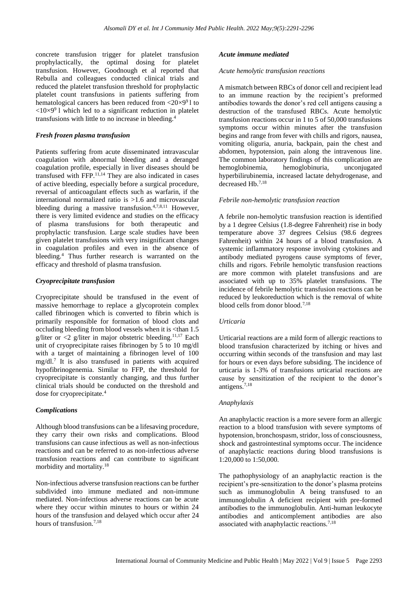concrete transfusion trigger for platelet transfusion prophylactically, the optimal dosing for platelet transfusion. However, Goodnough et al reported that Rebulla and colleagues conducted clinical trials and reduced the platelet transfusion threshold for prophylactic platelet count transfusions in patients suffering from hematological cancers has been reduced from  $\langle 20 \times 9^9 \rangle$  to  $\langle 10 \times 9^9$  l which led to a significant reduction in platelet transfusions with little to no increase in bleeding.<sup>4</sup>

## *Fresh frozen plasma transfusion*

Patients suffering from acute disseminated intravascular coagulation with abnormal bleeding and a deranged coagulation profile, especially in liver diseases should be transfused with FFP.11,14 They are also indicated in cases of active bleeding, especially before a surgical procedure, reversal of anticoagulant effects such as warfarin, if the international normalized ratio is >1.6 and microvascular bleeding during a massive transfusion.<sup>4,7,8,11</sup> However, there is very limited evidence and studies on the efficacy of plasma transfusions for both therapeutic and prophylactic transfusion. Large scale studies have been given platelet transfusions with very insignificant changes in coagulation profiles and even in the absence of bleeding.<sup>4</sup> Thus further research is warranted on the efficacy and threshold of plasma transfusion.

## *Cryoprecipitate transfusion*

Cryoprecipitate should be transfused in the event of massive hemorrhage to replace a glycoprotein complex called fibrinogen which is converted to fibrin which is primarily responsible for formation of blood clots and occluding bleeding from blood vessels when it is <than 1.5 g/liter or  $\langle 2 \rangle$  g/liter in major obstetric bleeding.<sup>11,17</sup> Each unit of cryoprecipitate raises fibrinogen by 5 to 10 mg/dl with a target of maintaining a fibrinogen level of 100 mg/dl. 7 It is also transfused in patients with acquired hypofibrinogenemia. Similar to FFP, the threshold for cryoprecipitate is constantly changing, and thus further clinical trials should be conducted on the threshold and dose for cryoprecipitate.<sup>4</sup>

#### *Complications*

Although blood transfusions can be a lifesaving procedure, they carry their own risks and complications. Blood transfusions can cause infectious as well as non-infectious reactions and can be referred to as non-infectious adverse transfusion reactions and can contribute to significant morbidity and mortality.<sup>18</sup>

Non-infectious adverse transfusion reactions can be further subdivided into immune mediated and non-immune mediated. Non-infectious adverse reactions can be acute where they occur within minutes to hours or within 24 hours of the transfusion and delayed which occur after 24 hours of transfusion.<sup>7,18</sup>

#### *Acute immune mediated*

#### *Acute hemolytic transfusion reactions*

A mismatch between RBCs of donor cell and recipient lead to an immune reaction by the recipient's preformed antibodies towards the donor's red cell antigens causing a destruction of the transfused RBCs. Acute hemolytic transfusion reactions occur in 1 to 5 of 50,000 transfusions symptoms occur within minutes after the transfusion begins and range from fever with chills and rigors, nausea, vomiting oliguria, anuria, backpain, pain the chest and abdomen, hypotension, pain along the intravenous line. The common laboratory findings of this complication are hemoglobinemia, hemoglobinuria, unconjugated hyperbilirubinemia, increased lactate dehydrogenase, and decreased Hb.7,18

#### *Febrile non-hemolytic transfusion reaction*

A febrile non-hemolytic transfusion reaction is identified by a 1 degree Celsius (1.8-degree Fahrenheit) rise in body temperature above 37 degrees Celsius (98.6 degrees Fahrenheit) within 24 hours of a blood transfusion. A systemic inflammatory response involving cytokines and antibody mediated pyrogens cause symptoms of fever, chills and rigors. Febrile hemolytic transfusion reactions are more common with platelet transfusions and are associated with up to 35% platelet transfusions. The incidence of febrile hemolytic transfusion reactions can be reduced by leukoreduction which is the removal of white blood cells from donor blood.7,18

#### *Urticaria*

Urticarial reactions are a mild form of allergic reactions to blood transfusion characterized by itching or hives and occurring within seconds of the transfusion and may last for hours or even days before subsiding. The incidence of urticaria is 1-3% of transfusions urticarial reactions are cause by sensitization of the recipient to the donor's antigens.7,18

#### *Anaphylaxis*

An anaphylactic reaction is a more severe form an allergic reaction to a blood transfusion with severe symptoms of hypotension, bronchospasm, stridor, loss of consciousness, shock and gastrointestinal symptoms occur. The incidence of anaphylactic reactions during blood transfusions is 1:20,000 to 1:50,000.

The pathophysiology of an anaphylactic reaction is the recipient's pre-sensitization to the donor's plasma proteins such as immunoglobulin A being transfused to an immunoglobulin A deficient recipient with pre-formed antibodies to the immunoglobulin. Anti-human leukocyte antibodies and anticomplement antibodies are also associated with anaphylactic reactions.<sup>7,18</sup>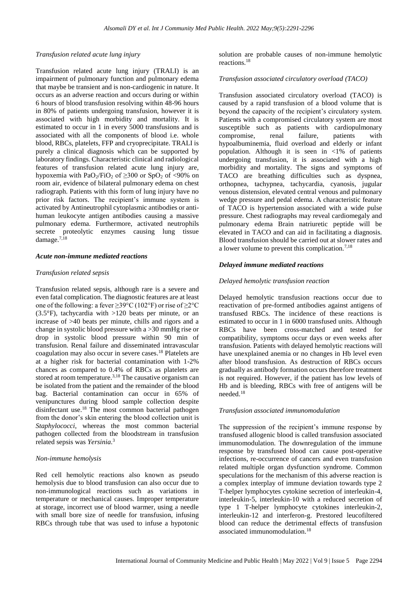## *Transfusion related acute lung injury*

Transfusion related acute lung injury (TRALI) is an impairment of pulmonary function and pulmonary edema that maybe be transient and is non-cardiogenic in nature. It occurs as an adverse reaction and occurs during or within 6 hours of blood transfusion resolving within 48-96 hours in 80% of patients undergoing transfusion, however it is associated with high morbidity and mortality. It is estimated to occur in 1 in every 5000 transfusions and is associated with all the components of blood i.e. whole blood, RBCs, platelets, FFP and cryoprecipitate. TRALI is purely a clinical diagnosis which can be supported by laboratory findings. Characteristic clinical and radiological features of transfusion related acute lung injury are, hypoxemia with PaO<sub>2</sub>/FiO<sub>2</sub> of  $\geq$ 300 or SpO<sub>2</sub> of  $\lt$ 90% on room air, evidence of bilateral pulmonary edema on chest radiograph. Patients with this form of lung injury have no prior risk factors. The recipient's immune system is activated by Antineutrophil cytoplasmic antibodies or antihuman leukocyte antigen antibodies causing a massive pulmonary edema. Furthermore, activated neutrophils secrete proteolytic enzymes causing lung tissue damage.<sup>7,18</sup>

#### *Acute non-immune mediated reactions*

#### *Transfusion related sepsis*

Transfusion related sepsis, although rare is a severe and even fatal complication. The diagnostic features are at least one of the following: a fever ≥39°C (102°F) or rise of ≥2°C (3.5°F), tachycardia with >120 beats per minute, or an increase of >40 beats per minute, chills and rigors and a change in systolic blood pressure with a >30 mmHg rise or drop in systolic blood pressure within 90 min of transfusion. Renal failure and disseminated intravascular coagulation may also occur in severe cases. <sup>18</sup> Platelets are at a higher risk for bacterial contamination with 1-2% chances as compared to 0.4% of RBCs as platelets are stored at room temperature.<sup>3,18</sup> The causative organism can be isolated from the patient and the remainder of the blood bag. Bacterial contamination can occur in 65% of venipunctures during blood sample collection despite disinfectant use. <sup>18</sup> The most common bacterial pathogen from the donor's skin entering the blood collection unit is *Staphylococci*, whereas the most common bacterial pathogen collected from the bloodstream in transfusion related sepsis was *Yersinia*. 3

#### *Non-immune hemolysis*

Red cell hemolytic reactions also known as pseudo hemolysis due to blood transfusion can also occur due to non-immunological reactions such as variations in temperature or mechanical causes. Improper temperature at storage, incorrect use of blood warmer, using a needle with small bore size of needle for transfusion, infusing RBCs through tube that was used to infuse a hypotonic

solution are probable causes of non-immune hemolytic reactions.<sup>18</sup>

#### *Transfusion associated circulatory overload (TACO)*

Transfusion associated circulatory overload (TACO) is caused by a rapid transfusion of a blood volume that is beyond the capacity of the recipient's circulatory system. Patients with a compromised circulatory system are most susceptible such as patients with cardiopulmonary compromise, renal failure, patients with hypoalbuminemia, fluid overload and elderly or infant population. Although it is seen in <1% of patients undergoing transfusion, it is associated with a high morbidity and mortality. The signs and symptoms of TACO are breathing difficulties such as dyspnea, orthopnea, tachypnea, tachycardia, cyanosis, jugular venous distension, elevated central venous and pulmonary wedge pressure and pedal edema. A characteristic feature of TACO is hypertension associated with a wide pulse pressure. Chest radiographs may reveal cardiomegaly and pulmonary edema Brain natriuretic peptide will be elevated in TACO and can aid in facilitating a diagnosis. Blood transfusion should be carried out at slower rates and a lower volume to prevent this complication.<sup>7,18</sup>

## *Delayed immune mediated reactions*

#### *Delayed hemolytic transfusion reaction*

Delayed hemolytic transfusion reactions occur due to reactivation of pre-formed antibodies against antigens of transfused RBCs. The incidence of these reactions is estimated to occur in 1 in 6000 transfused units. Although RBCs have been cross-matched and tested for compatibility, symptoms occur days or even weeks after transfusion. Patients with delayed hemolytic reactions will have unexplained anemia or no changes in Hb level even after blood transfusion. As destruction of RBCs occurs gradually as antibody formation occurs therefore treatment is not required. However, if the patient has low levels of Hb and is bleeding, RBCs with free of antigens will be needed.<sup>18</sup>

#### *Transfusion associated immunomodulation*

The suppression of the recipient's immune response by transfused allogenic blood is called transfusion associated immunomodulation. The downregulation of the immune response by transfused blood can cause post-operative infections, re-occurrence of cancers and even transfusion related multiple organ dysfunction syndrome. Common speculations for the mechanism of this adverse reaction is a complex interplay of immune deviation towards type 2 T-helper lymphocytes cytokine secretion of interleukin-4, interleukin-5, interleukin-10 with a reduced secretion of type 1 T-helper lymphocyte cytokines interleukin-2, interleukin-12 and interferon-g. Prestored leucofiltered blood can reduce the detrimental effects of transfusion associated immunomodulation.18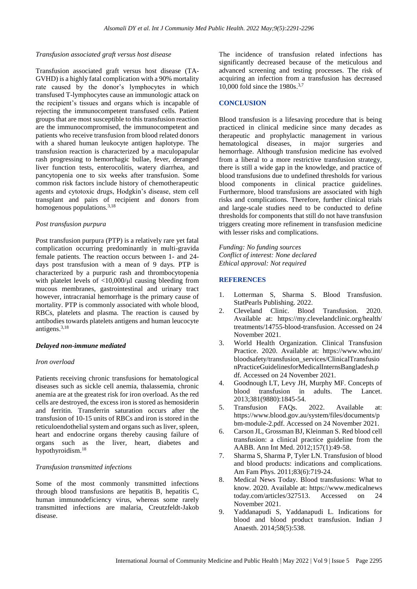#### *Transfusion associated graft versus host disease*

Transfusion associated graft versus host disease (TA-GVHD) is a highly fatal complication with a 90% mortality rate caused by the donor's lymphocytes in which transfused T-lymphocytes cause an immunologic attack on the recipient's tissues and organs which is incapable of rejecting the immunocompetent transfused cells. Patient groups that are most susceptible to this transfusion reaction are the immunocompromised, the immunocompetent and patients who receive transfusion from blood related donors with a shared human leukocyte antigen haplotype. The transfusion reaction is characterized by a maculopapular rash progressing to hemorrhagic bullae, fever, deranged liver function tests, enterocolitis, watery diarrhea, and pancytopenia one to six weeks after transfusion. Some common risk factors include history of chemotherapeutic agents and cytotoxic drugs, Hodgkin's disease, stem cell transplant and pairs of recipient and donors from homogenous populations. $3,18$ 

#### *Post transfusion purpura*

Post transfusion purpura (PTP) is a relatively rare yet fatal complication occurring predominantly in multi-gravida female patients. The reaction occurs between 1- and 24 days post transfusion with a mean of 9 days. PTP is characterized by a purpuric rash and thrombocytopenia with platelet levels of  $\langle 10.000 \rangle$ ul causing bleeding from mucous membranes, gastrointestinal and urinary tract however, intracranial hemorrhage is the primary cause of mortality. PTP is commonly associated with whole blood, RBCs, platelets and plasma. The reaction is caused by antibodies towards platelets antigens and human leucocyte antigens.3,18

#### *Delayed non-immune mediated*

#### *Iron overload*

Patients receiving chronic transfusions for hematological diseases such as sickle cell anemia, thalassemia, chronic anemia are at the greatest risk for iron overload. As the red cells are destroyed, the excess iron is stored as hemosiderin and ferritin. Transferrin saturation occurs after the transfusion of 10-15 units of RBCs and iron is stored in the reticuloendothelial system and organs such as liver, spleen, heart and endocrine organs thereby causing failure of organs such as the liver, heart, diabetes and hypothyroidism.<sup>18</sup>

## *Transfusion transmitted infections*

Some of the most commonly transmitted infections through blood transfusions are hepatitis B, hepatitis C, human immunodeficiency virus, whereas some rarely transmitted infections are malaria, Creutzfeldt-Jakob disease.

The incidence of transfusion related infections has significantly decreased because of the meticulous and advanced screening and testing processes. The risk of acquiring an infection from a transfusion has decreased 10,000 fold since the 1980s. 3,7

#### **CONCLUSION**

Blood transfusion is a lifesaving procedure that is being practiced in clinical medicine since many decades as therapeutic and prophylactic management in various hematological diseases, in major surgeries and hemorrhage. Although transfusion medicine has evolved from a liberal to a more restrictive transfusion strategy, there is still a wide gap in the knowledge, and practice of blood transfusions due to undefined thresholds for various blood components in clinical practice guidelines. Furthermore, blood transfusions are associated with high risks and complications. Therefore, further clinical trials and large-scale studies need to be conducted to define thresholds for components that still do not have transfusion triggers creating more refinement in transfusion medicine with lesser risks and complications.

*Funding: No funding sources Conflict of interest: None declared Ethical approval: Not required*

## **REFERENCES**

- 1. Lotterman S, Sharma S. Blood Transfusion. StatPearls Publishing. 2022.
- 2. Cleveland Clinic. Blood Transfusion. 2020. Available at: https://my.clevelandclinic.org/health/ treatments/14755-blood-transfusion. Accessed on 24 November 2021.
- 3. World Health Organization. Clinical Transfusion Practice. 2020. Available at: https://www.who.int/ bloodsafety/transfusion\_services/ClinicalTransfusio nPracticeGuidelinesforMedicalInternsBangladesh.p df. Accessed on 24 November 2021.
- 4. Goodnough LT, Levy JH, Murphy MF. Concepts of blood transfusion in adults. The Lancet. 2013;381(9880):1845-54.
- 5. Transfusion FAQs. 2022. Available at: https://www.blood.gov.au/system/files/documents/p bm-module-2.pdf. Accessed on 24 November 2021.
- 6. Carson JL, Grossman BJ, Kleinman S. Red blood cell transfusion: a clinical practice guideline from the AABB. Ann Int Med. 2012;157(1):49-58.
- 7. Sharma S, Sharma P, Tyler LN. Transfusion of blood and blood products: indications and complications. Am Fam Phys. 2011;83(6):719-24.
- 8. Medical News Today. Blood transfusions: What to know. 2020. Available at: [https://www.medicalnews](https://www.medicalnews/) today.com/articles/327513. Accessed on 24 November 2021.
- 9. Yaddanapudi S, Yaddanapudi L. Indications for blood and blood product transfusion. Indian J Anaesth. 2014;58(5):538.